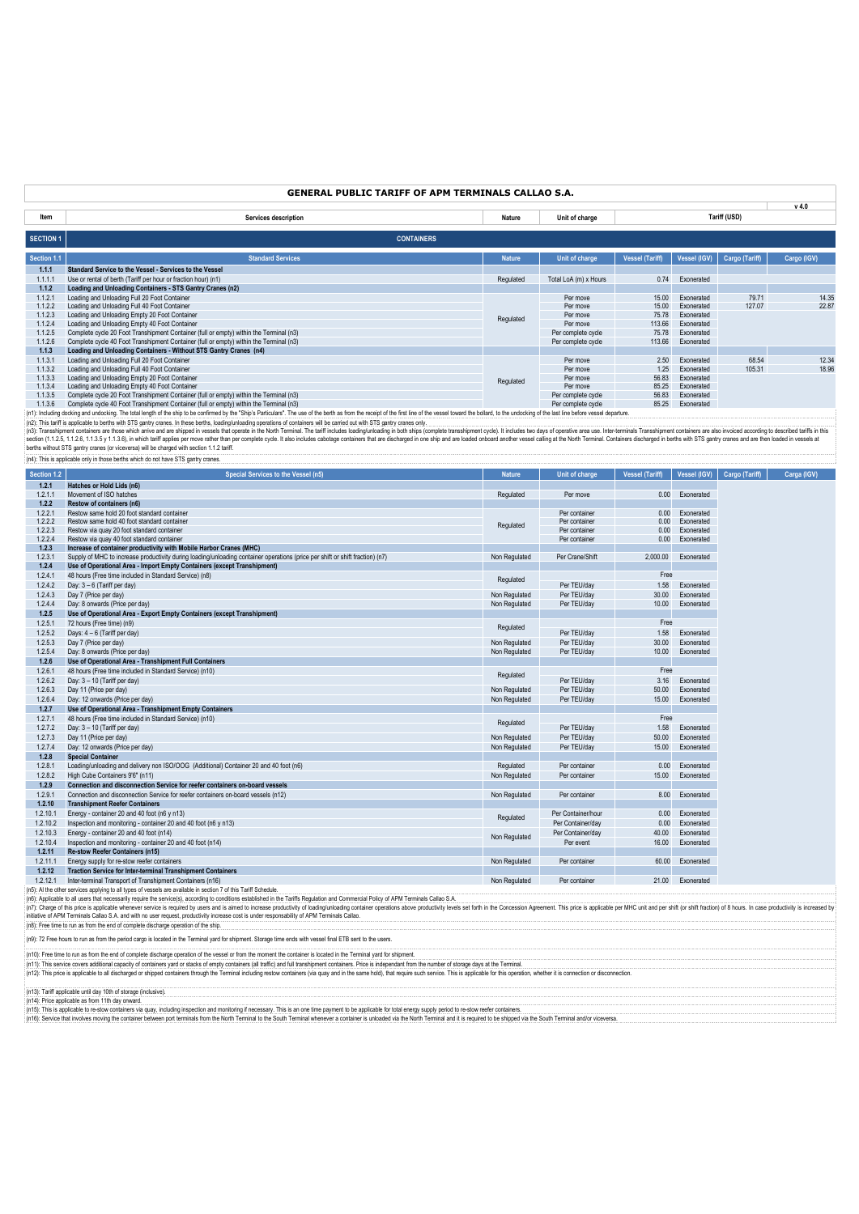|                    | <b>GENERAL PUBLIC TARIFF OF APM TERMINALS CALLAO S.A.</b>                                                                                                                                                                                                                                                                                                                                                                                                                                                                                                                                                                                                                                                                                                                                                                             |                                |                                          |                        |                          |                 |                |
|--------------------|---------------------------------------------------------------------------------------------------------------------------------------------------------------------------------------------------------------------------------------------------------------------------------------------------------------------------------------------------------------------------------------------------------------------------------------------------------------------------------------------------------------------------------------------------------------------------------------------------------------------------------------------------------------------------------------------------------------------------------------------------------------------------------------------------------------------------------------|--------------------------------|------------------------------------------|------------------------|--------------------------|-----------------|----------------|
| Item               | Services description                                                                                                                                                                                                                                                                                                                                                                                                                                                                                                                                                                                                                                                                                                                                                                                                                  | Nature                         | Unit of charge                           |                        |                          | Tariff (USD)    | $v$ 4.0        |
|                    | <b>CONTAINERS</b>                                                                                                                                                                                                                                                                                                                                                                                                                                                                                                                                                                                                                                                                                                                                                                                                                     |                                |                                          |                        |                          |                 |                |
| <b>SECTION 1</b>   |                                                                                                                                                                                                                                                                                                                                                                                                                                                                                                                                                                                                                                                                                                                                                                                                                                       |                                |                                          |                        |                          |                 |                |
| Section 1.1        | <b>Standard Services</b>                                                                                                                                                                                                                                                                                                                                                                                                                                                                                                                                                                                                                                                                                                                                                                                                              | <b>Nature</b>                  | Unit of charge                           | <b>Vessel (Tariff)</b> | Vessel (IGV)             | Cargo (Tariff)  | Cargo (IGV)    |
| 1.1.1              | Standard Service to the Vessel - Services to the Vessel                                                                                                                                                                                                                                                                                                                                                                                                                                                                                                                                                                                                                                                                                                                                                                               |                                |                                          |                        |                          |                 |                |
| 1.1.1.1<br>1.1.2   | Use or rental of berth (Tariff per hour or fraction hour) (n1)<br>Loading and Unloading Containers - STS Gantry Cranes (n2)                                                                                                                                                                                                                                                                                                                                                                                                                                                                                                                                                                                                                                                                                                           | Regulated                      | Total LoA (m) x Hours                    | 0.74                   | Exonerated               |                 |                |
| 1.1.2.1            | Loading and Unloading Full 20 Foot Container                                                                                                                                                                                                                                                                                                                                                                                                                                                                                                                                                                                                                                                                                                                                                                                          |                                | Per move                                 | 15.00                  | Exonerated               | 79.71           | 14.35          |
| 1.1.2.2            | Loading and Unloading Full 40 Foot Container                                                                                                                                                                                                                                                                                                                                                                                                                                                                                                                                                                                                                                                                                                                                                                                          |                                | Per move                                 | 15.00                  | Exonerated               | 127.07          | 22.87          |
| 1.1.2.3<br>1.1.2.4 | Loading and Unloading Empty 20 Foot Container<br>Loading and Unloading Empty 40 Foot Container                                                                                                                                                                                                                                                                                                                                                                                                                                                                                                                                                                                                                                                                                                                                        | Regulated                      | Per move<br>Per move                     | 75.78<br>113.66        | Exonerated<br>Exonerated |                 |                |
| 1.1.2.5            | Complete cycle 20 Foot Transhipment Container (full or empty) within the Terminal (n3)                                                                                                                                                                                                                                                                                                                                                                                                                                                                                                                                                                                                                                                                                                                                                |                                | Per complete cycle                       | 75.78                  | Exonerated               |                 |                |
| 1.1.2.6            | Complete cycle 40 Foot Transhipment Container (full or empty) within the Terminal (n3)                                                                                                                                                                                                                                                                                                                                                                                                                                                                                                                                                                                                                                                                                                                                                |                                | Per complete cycle                       | 113.66                 | Exonerated               |                 |                |
| 1.1.3              | Loading and Unloading Containers - Without STS Gantry Cranes (n4)                                                                                                                                                                                                                                                                                                                                                                                                                                                                                                                                                                                                                                                                                                                                                                     |                                |                                          | 2.50                   |                          |                 |                |
| 1.1.3.1<br>1.1.3.2 | Loading and Unloading Full 20 Foot Container<br>Loading and Unloading Full 40 Foot Container                                                                                                                                                                                                                                                                                                                                                                                                                                                                                                                                                                                                                                                                                                                                          |                                | Per move<br>Per move                     | 1.25                   | Exonerated<br>Exonerated | 68.54<br>105.31 | 12.34<br>18.96 |
| 1.1.3.3            | Loading and Unloading Empty 20 Foot Container                                                                                                                                                                                                                                                                                                                                                                                                                                                                                                                                                                                                                                                                                                                                                                                         | Regulated                      | Per move                                 | 56.83                  | Exonerated               |                 |                |
| 1.1.3.4            | Loading and Unloading Empty 40 Foot Container                                                                                                                                                                                                                                                                                                                                                                                                                                                                                                                                                                                                                                                                                                                                                                                         |                                | Per move                                 | 85.25                  | Exonerated               |                 |                |
| 1.1.3.5<br>1.1.3.6 | Complete cycle 20 Foot Transhipment Container (full or empty) within the Terminal (n3)<br>Complete cycle 40 Foot Transhipment Container (full or empty) within the Terminal (n3)                                                                                                                                                                                                                                                                                                                                                                                                                                                                                                                                                                                                                                                      |                                | Per complete cycle<br>Per complete cycle | 56.83<br>85.25         | Exonerated<br>Exonerated |                 |                |
|                    | (n1): Including docking and undocking. The total length of the ship to be confirmed by the "Ship's Particulars". The use of the beth as from the receipt of the first line of the vessel toward the bollard, to the undocking                                                                                                                                                                                                                                                                                                                                                                                                                                                                                                                                                                                                         |                                |                                          |                        |                          |                 |                |
|                    | (n2): This tariff is applicable to berths with STS gantry cranes. In these berths, loading/unloading operations of containers will be carried out with STS gantry cranes only.<br>(n3): Transshipment containers are those which arrive and are shipped in vessels that operate in the North Terminal. The tariff includes loading/unloading in both ships (complete transshipment cycle). It includes two days<br>section (1.1.2.5, 1.1.2.6, 1.1.3.6), 1.1.3.6), in which tariff applies per move rather than per complete cycle. It also includes cabotage containers that are discharged in one ship and are loaded onboard another vessel cal<br>berths without STS gantry cranes (or viceversa) will be charged with section 1.1.2 tariff.<br>(n4): This is applicable only in those berths which do not have STS gantry cranes. |                                |                                          |                        |                          |                 |                |
| Section 1.2        | Special Services to the Vessel (n5)                                                                                                                                                                                                                                                                                                                                                                                                                                                                                                                                                                                                                                                                                                                                                                                                   | <b>Nature</b>                  | Unit of charge                           | <b>Vessel (Tariff)</b> | <b>Vessel (IGV)</b>      | Cargo (Tariff)  | Carga (IGV)    |
| 1.2.1              | Hatches or Hold Lids (n6)                                                                                                                                                                                                                                                                                                                                                                                                                                                                                                                                                                                                                                                                                                                                                                                                             |                                |                                          |                        |                          |                 |                |
| 1.2.1.1            | Movement of ISO hatches                                                                                                                                                                                                                                                                                                                                                                                                                                                                                                                                                                                                                                                                                                                                                                                                               | Regulated                      | Per move                                 | 0.00                   | Exonerated               |                 |                |
| 1.2.2<br>1.2.2.1   | Restow of containers (n6)<br>Restow same hold 20 foot standard container                                                                                                                                                                                                                                                                                                                                                                                                                                                                                                                                                                                                                                                                                                                                                              |                                | Per container                            | 0.00                   | Exonerated               |                 |                |
| 1.2.2.2            | Restow same hold 40 foot standard container                                                                                                                                                                                                                                                                                                                                                                                                                                                                                                                                                                                                                                                                                                                                                                                           | Regulated                      | Per container                            | 0.00                   | Exonerated               |                 |                |
| 1.2.2.3            | Restow via quay 20 foot standard container                                                                                                                                                                                                                                                                                                                                                                                                                                                                                                                                                                                                                                                                                                                                                                                            |                                | Per container                            | 0.00                   | Exonerated               |                 |                |
| 1.2.2.4<br>1.2.3   | Restow via quay 40 foot standard container<br>Increase of container productivity with Mobile Harbor Cranes (MHC)                                                                                                                                                                                                                                                                                                                                                                                                                                                                                                                                                                                                                                                                                                                      |                                | Per container                            | 0.00                   | Exonerated               |                 |                |
| 1.2.3.1            | Supply of MHC to increase productivity during loading/unloading container operations (price per shift or shift fraction) (n7)                                                                                                                                                                                                                                                                                                                                                                                                                                                                                                                                                                                                                                                                                                         | Non Regulated                  | Per Crane/Shift                          | 2,000.00               | Exonerated               |                 |                |
| 1.2.4              | Use of Operational Area - Import Empty Containers (except Transhipment)                                                                                                                                                                                                                                                                                                                                                                                                                                                                                                                                                                                                                                                                                                                                                               |                                |                                          |                        |                          |                 |                |
| 1.2.4.1            | 48 hours (Free time included in Standard Service) (n8)                                                                                                                                                                                                                                                                                                                                                                                                                                                                                                                                                                                                                                                                                                                                                                                | Regulated                      |                                          | Free                   |                          |                 |                |
| 1.2.4.2            | Day: $3-6$ (Tariff per day)                                                                                                                                                                                                                                                                                                                                                                                                                                                                                                                                                                                                                                                                                                                                                                                                           |                                | Per TEU/day                              | 1.58                   | Exonerated               |                 |                |
| 1.2.4.3<br>1.2.4.4 | Day 7 (Price per day)<br>Day: 8 onwards (Price per day)                                                                                                                                                                                                                                                                                                                                                                                                                                                                                                                                                                                                                                                                                                                                                                               | Non Regulated<br>Non Regulated | Per TEU/day<br>Per TEU/day               | 30.00<br>10.00         | Exonerated<br>Exonerated |                 |                |
| 1.2.5              | Use of Operational Area - Export Empty Containers (except Transhipment)                                                                                                                                                                                                                                                                                                                                                                                                                                                                                                                                                                                                                                                                                                                                                               |                                |                                          |                        |                          |                 |                |
| 1.2.5.1            | 72 hours (Free time) (n9)                                                                                                                                                                                                                                                                                                                                                                                                                                                                                                                                                                                                                                                                                                                                                                                                             | Regulated                      |                                          | Free                   |                          |                 |                |
| 1.2.5.2            | Days: $4-6$ (Tariff per day)                                                                                                                                                                                                                                                                                                                                                                                                                                                                                                                                                                                                                                                                                                                                                                                                          |                                | Per TEU/day                              | 1.58                   | Exonerated               |                 |                |
| 1.2.5.3<br>1.2.5.4 | Day 7 (Price per day)<br>Day: 8 onwards (Price per day)                                                                                                                                                                                                                                                                                                                                                                                                                                                                                                                                                                                                                                                                                                                                                                               | Non Regulated<br>Non Regulated | Per TEU/day<br>Per TEU/day               | 30.00<br>10.00         | Exonerated<br>Exonerated |                 |                |
| 1.2.6              | Use of Operational Area - Transhipment Full Containers                                                                                                                                                                                                                                                                                                                                                                                                                                                                                                                                                                                                                                                                                                                                                                                |                                |                                          |                        |                          |                 |                |
| 1.2.6.1            | 48 hours (Free time included in Standard Service) (n10)                                                                                                                                                                                                                                                                                                                                                                                                                                                                                                                                                                                                                                                                                                                                                                               | Regulated                      |                                          | Free                   |                          |                 |                |
| 1.2.6.2            | Day: 3 - 10 (Tariff per day)                                                                                                                                                                                                                                                                                                                                                                                                                                                                                                                                                                                                                                                                                                                                                                                                          |                                | Per TEU/day                              | 3.16                   | Exonerated               |                 |                |
| 1.2.6.3            | Day 11 (Price per day)                                                                                                                                                                                                                                                                                                                                                                                                                                                                                                                                                                                                                                                                                                                                                                                                                | Non Regulated                  | Per TEU/day                              | 50.00                  | Exonerated               |                 |                |
| 1.2.6.4<br>1.2.7   | Day: 12 onwards (Price per day)<br>Use of Operational Area - Transhipment Empty Containers                                                                                                                                                                                                                                                                                                                                                                                                                                                                                                                                                                                                                                                                                                                                            | Non Regulated                  | Per TEU/day                              | 15.00                  | Exonerated               |                 |                |
| 1.2.7.1            | 48 hours (Free time included in Standard Service) (n10)                                                                                                                                                                                                                                                                                                                                                                                                                                                                                                                                                                                                                                                                                                                                                                               |                                |                                          | Free                   |                          |                 |                |
| 1.2.7.2            | Day: 3 - 10 (Tariff per day)                                                                                                                                                                                                                                                                                                                                                                                                                                                                                                                                                                                                                                                                                                                                                                                                          | Regulated                      | Per TEU/day                              | 1.58                   | Exonerated               |                 |                |
| 1.2.7.3            | Day 11 (Price per day)                                                                                                                                                                                                                                                                                                                                                                                                                                                                                                                                                                                                                                                                                                                                                                                                                | Non Regulated                  | Per TEU/day                              | 50.00                  | Exonerated               |                 |                |
| 1.2.7.4<br>1.2.8   | Day: 12 onwards (Price per day)<br><b>Special Container</b>                                                                                                                                                                                                                                                                                                                                                                                                                                                                                                                                                                                                                                                                                                                                                                           | Non Regulated                  | Per TEU/dav                              | 15.00                  | Exonerated               |                 |                |
| 1.2.8.1            | Loading/unloading and delivery non ISO/OOG (Additional) Container 20 and 40 foot (n6)                                                                                                                                                                                                                                                                                                                                                                                                                                                                                                                                                                                                                                                                                                                                                 | Regulated                      | Per container                            | 0.00                   | Exonerated               |                 |                |
| 1.2.8.2            | High Cube Containers 9'6" (n11)                                                                                                                                                                                                                                                                                                                                                                                                                                                                                                                                                                                                                                                                                                                                                                                                       | Non Regulated                  | Per container                            | 15.00                  | Exonerated               |                 |                |
| 1.2.9              | Connection and disconnection Service for reefer containers on-board vessels                                                                                                                                                                                                                                                                                                                                                                                                                                                                                                                                                                                                                                                                                                                                                           |                                |                                          |                        |                          |                 |                |
| 1.2.9.1            | Connection and disconnection Service for reefer containers on-board vessels (n12)                                                                                                                                                                                                                                                                                                                                                                                                                                                                                                                                                                                                                                                                                                                                                     | Non Regulated                  | Per container                            | 8.00                   | Exonerated               |                 |                |
| 1.2.10<br>1.2.10.1 | <b>Transhipment Reefer Containers</b><br>Energy - container 20 and 40 foot (n6 y n13)                                                                                                                                                                                                                                                                                                                                                                                                                                                                                                                                                                                                                                                                                                                                                 |                                | Per Container/hour                       | 0.00                   | Exonerated               |                 |                |
| 1.2.10.2           | Inspection and monitoring - container 20 and 40 foot (n6 y n13)                                                                                                                                                                                                                                                                                                                                                                                                                                                                                                                                                                                                                                                                                                                                                                       | Regulated                      | Per Container/day                        | 0.00                   | Exonerated               |                 |                |
| 1.2.10.3           | Energy - container 20 and 40 foot (n14)                                                                                                                                                                                                                                                                                                                                                                                                                                                                                                                                                                                                                                                                                                                                                                                               | Non Regulated                  | Per Container/day                        | 40.00                  | Exonerated               |                 |                |
| 1.2.10.4           | Inspection and monitoring - container 20 and 40 foot (n14)                                                                                                                                                                                                                                                                                                                                                                                                                                                                                                                                                                                                                                                                                                                                                                            |                                | Per event                                | 16.00                  | Exonerated               |                 |                |
| 1.2.11             | Re-stow Reefer Containers (n15)                                                                                                                                                                                                                                                                                                                                                                                                                                                                                                                                                                                                                                                                                                                                                                                                       |                                |                                          |                        |                          |                 |                |
| 1.2.11.1<br>1.2.12 | Energy supply for re-stow reefer containers<br><b>Traction Service for Inter-terminal Transhipment Containers</b>                                                                                                                                                                                                                                                                                                                                                                                                                                                                                                                                                                                                                                                                                                                     | Non Regulated                  | Per container                            | 60.00                  | Exonerated               |                 |                |
| 1.2.12.1           | Inter-terminal Transport of Transhipment Containers (n16)                                                                                                                                                                                                                                                                                                                                                                                                                                                                                                                                                                                                                                                                                                                                                                             | Non Regulated                  | Per container                            |                        | 21.00 Exonerated         |                 |                |
|                    | (n5): Al the other services applying to all types of vessels are available in section 7 of this Tariff Schedule.                                                                                                                                                                                                                                                                                                                                                                                                                                                                                                                                                                                                                                                                                                                      |                                |                                          |                        |                          |                 |                |
|                    | (n6): Applicable to all users that necessarily require the service(s), according to conditions established in the Tariffs Regulation and Commercial Policy of APM Terminals Callao S.A.                                                                                                                                                                                                                                                                                                                                                                                                                                                                                                                                                                                                                                               |                                |                                          |                        |                          |                 |                |
|                    | (n7): Charge of this price is applicable whenever service is required by users and is aimed to increase productivity of loading/unloading container operations above productivity levels set forth in the Concession Agreement<br>initiative of APM Terminals Callao S.A. and with no user request, productivity increase cost is under responsability of APM Terminals Callao.                                                                                                                                                                                                                                                                                                                                                                                                                                                       |                                |                                          |                        |                          |                 |                |
|                    | (n8): Free time to run as from the end of complete discharge operation of the ship.                                                                                                                                                                                                                                                                                                                                                                                                                                                                                                                                                                                                                                                                                                                                                   |                                |                                          |                        |                          |                 |                |
|                    | (n9): 72 Free hours to run as from the period cargo is located in the Terminal yard for shipment. Storage time ends with vessel final ETB sent to the users.                                                                                                                                                                                                                                                                                                                                                                                                                                                                                                                                                                                                                                                                          |                                |                                          |                        |                          |                 |                |
|                    |                                                                                                                                                                                                                                                                                                                                                                                                                                                                                                                                                                                                                                                                                                                                                                                                                                       |                                |                                          |                        |                          |                 |                |

(n10): Free time to un as from the end of complete discharge operation of the vessel or from the moment the container is located in the Terminal yard for shipment.<br>(n11): This pervice covers additional capacity of containe (n13): Tariff applicable until day 10th of storage (inclusive). (n14): Price applicable as from 11th day onward.

(n15): This is applicable to re-stow containers via quay, including inspection and monitoring if necessary. This is an one time payment to be applicable for total energy supply period to re-stow reefer containers.<br>(n16): S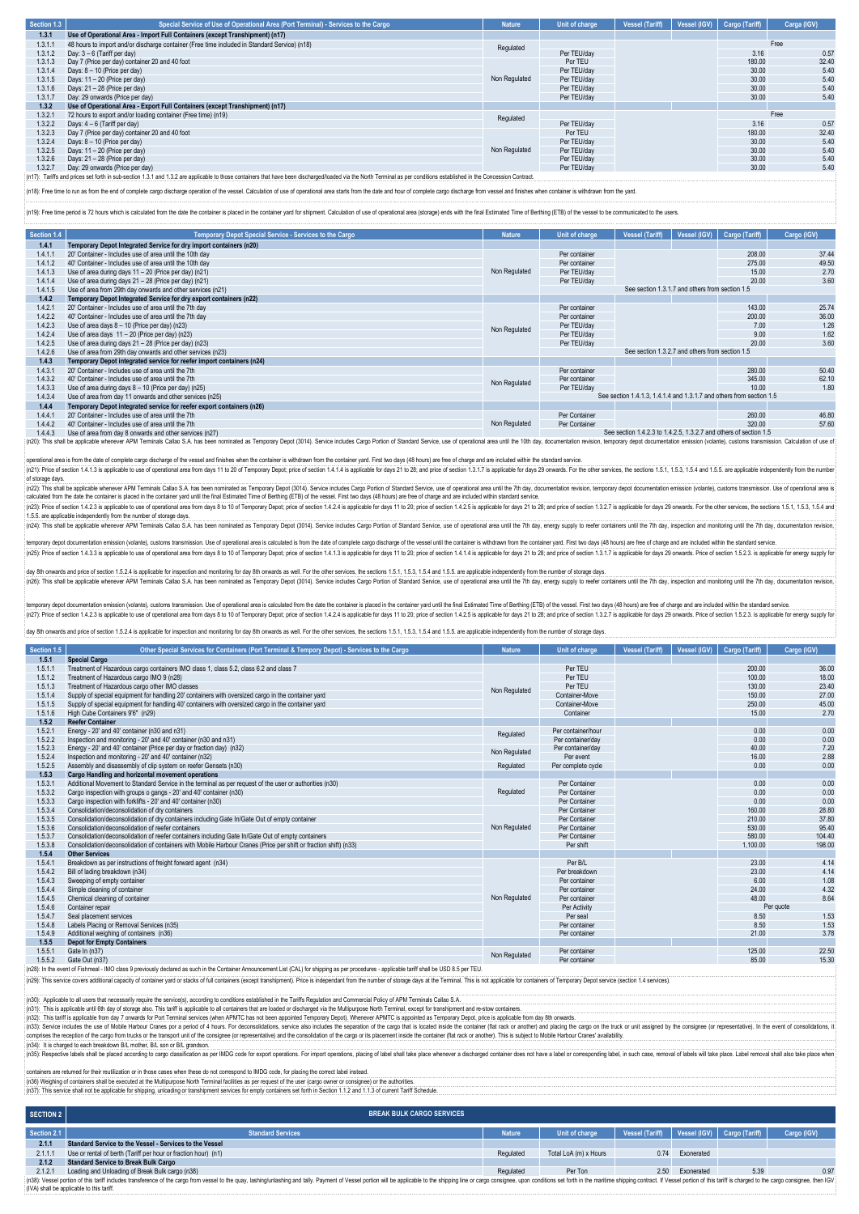| Section 1.3 | Special Service of Use of Operational Area (Port Terminal) - Services to the Cargo           | <b>Nature</b> | Unit of charge | Vessel (Tariff) | Vessel (IGV) | Cargo (Tariff) | Carga (IGV) |
|-------------|----------------------------------------------------------------------------------------------|---------------|----------------|-----------------|--------------|----------------|-------------|
| 1.3.1       | Use of Operational Area - Import Full Containers (except Transhipment) (n17)                 |               |                |                 |              |                |             |
| 1.3.1.1     | 48 hours to import and/or discharge container (Free time included in Standard Service) (n18) | Regulated     |                |                 |              |                | Free        |
| 1.3.1.2     | Day: $3 - 6$ (Tariff per day)                                                                |               | Per TEU/dav    |                 |              | 3.16           | 0.57        |
| 1.3.1.3     | Day 7 (Price per day) container 20 and 40 foot                                               |               | Por TEU        |                 |              | 180.00         | 32.40       |
| 1.3.1.4     | Days: 8 - 10 (Price per day)                                                                 |               | Per TEU/dav    |                 | 30.00        | 5.40           |             |
| 1.3.1.5     | Days: 11 - 20 (Price per day)                                                                | Non Regulated | Per TEU/dav    |                 | 30.00        | 5.40           |             |
| 1.3.1.6     | Days: 21 - 28 (Price per day)                                                                |               | Per TEU/dav    |                 | 30.00        | 5.40           |             |
| 1.3.1.7     | Day: 29 onwards (Price per day)                                                              |               | Per TEU/dav    |                 | 30.00        | 5.40           |             |
| 1.3.2       | Use of Operational Area - Export Full Containers (except Transhipment) (n17)                 |               |                |                 |              |                |             |
| 1.3.2.1     | 72 hours to export and/or loading container (Free time) (n19)                                | Regulated     |                |                 |              |                | Free        |
| 1.3.2.2     | Days: 4 - 6 (Tariff per day)                                                                 |               | Per TEU/dav    |                 |              | 3.16           | 0.57        |
| 1.3.2.3     | Day 7 (Price per day) container 20 and 40 foot                                               |               | Por TEU        |                 |              | 180.00         | 32.40       |
| 1.3.2.4     | Days: 8 - 10 (Price per day)                                                                 |               | Per TEU/dav    |                 |              | 30.00          | 5.40        |
| 1.3.2.5     | Days: 11 - 20 (Price per day)                                                                | Non Regulated | Per TEU/dav    |                 |              | 30.00          | 5.40        |
| 1.3.2.6     | Days: 21 - 28 (Price per day)                                                                |               | Per TEU/dav    |                 |              | 30.00          | 5.40        |
| 1.3.2.7     | Day: 29 onwards (Price per day)                                                              |               | Per TEU/dav    |                 |              | 30.00          | 5.40        |

(n17): Tariffs and prices set forth in sub-section 1.3.1 and 1.3.2 are applicable to those containers that have been discharged/loaded via the North Terminal as per conditions established in the Concession Contract.

(n18): Free time to run as from the end of complete cargo discharge operation of the vessel. Calculation of use of operational area starts from the date and hour of complete cargo discharge from vessel and finishes when co

(n19): Free time period is 72 hours which is calculated from the date the container is placed in the container vard for shipment. Calculation of use of operational area (storage) ends with the final Estimated Time of Berth

| Section 1.4 | <b>Temporary Depot Special Service - Services to the Cargo</b>                                                                                                                                                                 | <b>Nature</b> | Unit of charge                                  | <b>Vessel (Tariff)</b>                                               | Vessel (IGV) | Cargo (Tariff) | Cargo (IGV) |  |
|-------------|--------------------------------------------------------------------------------------------------------------------------------------------------------------------------------------------------------------------------------|---------------|-------------------------------------------------|----------------------------------------------------------------------|--------------|----------------|-------------|--|
| 1.4.1       | Temporary Depot Integrated Service for dry import containers (n20)                                                                                                                                                             |               |                                                 |                                                                      |              |                |             |  |
| 1.4.1.      | 20' Container - Includes use of area until the 10th day                                                                                                                                                                        |               | Per container                                   |                                                                      |              | 208.00         | 37.44       |  |
| 1.4.1.2     | 40' Container - Includes use of area until the 10th day                                                                                                                                                                        |               | Per container                                   |                                                                      |              | 275.00         | 49.50       |  |
| 1.4.1.3     | Use of area during days 11 - 20 (Price per day) (n21)                                                                                                                                                                          | Non Regulated | Per TEU/dav                                     |                                                                      |              | 15.00          | 2.70        |  |
| 1.4.1.4     | Use of area during days 21 - 28 (Price per day) (n21)                                                                                                                                                                          |               | Per TEU/day                                     |                                                                      |              | 20.00          | 3.60        |  |
| 1.4.1.5     | Use of area from 29th day onwards and other services (n21)                                                                                                                                                                     |               |                                                 | See section 1.3.1.7 and others from section 1.5                      |              |                |             |  |
| 1.4.2       | Temporary Depot Integrated Service for dry export containers (n22)                                                                                                                                                             |               |                                                 |                                                                      |              |                |             |  |
| 1.4.2.1     | 20' Container - Includes use of area until the 7th day                                                                                                                                                                         |               | Per container                                   |                                                                      |              | 143.00         | 25.74       |  |
| 1.4.2.2     | 40' Container - Includes use of area until the 7th day                                                                                                                                                                         |               | Per container                                   |                                                                      |              | 200.00         | 36.00       |  |
| 1.4.2.3     | Use of area days $8 - 10$ (Price per day) (n23)                                                                                                                                                                                | Non Regulated | Per TEU/day                                     |                                                                      |              | 7.00           | 1.26        |  |
| 1.4.2.4     | Use of area days $11 - 20$ (Price per day) (n23)                                                                                                                                                                               |               | Per TEU/day                                     |                                                                      |              | 9.00           | 1.62        |  |
| 1.4.2.5     | Use of area during days 21 - 28 (Price per day) (n23)                                                                                                                                                                          |               | Per TEU/day                                     |                                                                      |              | 20.00          | 3.60        |  |
| 1.4.2.6     | Use of area from 29th day onwards and other services (n23)                                                                                                                                                                     |               | See section 1.3.2.7 and others from section 1.5 |                                                                      |              |                |             |  |
| 1.4.3       | Temporary Depot integrated service for reefer import containers (n24)                                                                                                                                                          |               |                                                 |                                                                      |              |                |             |  |
| 1.4.3.1     | 20' Container - Includes use of area until the 7th                                                                                                                                                                             |               | Per container                                   |                                                                      |              | 280.00         | 50.40       |  |
| 1.4.3.2     | 40' Container - Includes use of area until the 7th                                                                                                                                                                             | Non Regulated | Per container                                   |                                                                      |              | 345.00         | 62.10       |  |
| 1.4.3.3     | Use of area during days 8 - 10 (Price per day) (n25)                                                                                                                                                                           |               | Per TEU/dav                                     |                                                                      |              | 10.00          | 1.80        |  |
| 1.4.3.4     | Use of area from day 11 onwards and other services (n25)                                                                                                                                                                       |               |                                                 | See section 1.4.1.3, 1.4.1.4 and 1.3.1.7 and others from section 1.5 |              |                |             |  |
| 1.4.4       | Temporary Depot integrated service for reefer export containers (n26)                                                                                                                                                          |               |                                                 |                                                                      |              |                |             |  |
| 1.4.4.1     | 20' Container - Includes use of area until the 7th                                                                                                                                                                             |               | Per Container                                   |                                                                      |              | 260.00         | 46.80       |  |
| 1.4.4.2     | 40' Container - Includes use of area until the 7th                                                                                                                                                                             | Non Regulated | Per Container                                   |                                                                      |              | 320.00         | 57.60       |  |
| 1.4.4.3     | Use of area from day 8 onwards and other services (n27)                                                                                                                                                                        |               |                                                 | See section 1.4.2.3 to 1.4.2.5, 1.3.2.7 and others of section 1.5    |              |                |             |  |
|             | (n20): This shall be applicable whenever APM Terminals Callao S.A. has been nominated as Temporary Depot (3014). Service includes Cargo Portion of Standard Service, use of operational area until the 10th day, documentation |               |                                                 |                                                                      |              |                |             |  |

operational area is from the date of complete cargo discharge of the vessel and finishes when the container is withdrawn from the container yard. First two days (48 hours) are free of charge and are included within the sta of storage days.

(n22): This shall be applicable whenever APM Terminals Callao S.A. has been nominated as Temporary Depot (3014). Service includes Cargo Portion of Standard Service, use of operational area until the 7th day, documentation

1.5.5. are applicable independently from the number of storage days.<br>[(n24): This shall be applicable whenever APM Terminals Callao S. lao S.A. has been nominated as Temporary Depot (3014). Service includes Cargo Portion of Standard Service, use of operational area until the 7th day, energy supply to reefer containers until the 7th day, inspection and mon

mentation emission (volante), customs transmission. Use of operational area is calculated is from the date of complete cargo discharge of the vessel until the container is withdrawn from the container vard. First two days (n25): Price of section 14.3.3 is applicable to use of operational area from days 8 to 10 of Temporary Depot; price of section 14.1.3 is applicable for days 11 to 20; price of section 14.14 is applicable for days 21 to 28;

day 8th onwards and price of section 1.5.2.4 is applicable for inspection and monitoring for day 8th onwards as well. For the other services, the sections 1.5.1, 1.5.3, 1.5.4 and 1.5.5. are applicable independently from th

temporary depot documentation emission (volante), customs transmission. Use of operational area is calculated from the date the container is placed in the container yard until the final Estimated Time of Berthing (ETB) of

and the nonvards and price of section 1.5.2.4 is applicable for inspection and monitoring for day 8th onwards as well. For the other services, the sections 1.5.1, 1.5.3, 1.5.4, and 1.5.5. are applicable independently from

| Section 1.5 | Other Special Services for Containers (Port Terminal & Tempory Depot) - Services to the Cargo                                                                                                   | <b>Nature</b> | Unit of charge     | <b>Vessel (Tariff)</b> | <b>Vessel (IGV)</b> | Cargo (Tariff) | Cargo (IGV) |
|-------------|-------------------------------------------------------------------------------------------------------------------------------------------------------------------------------------------------|---------------|--------------------|------------------------|---------------------|----------------|-------------|
| 1.5.1       | <b>Special Cargo</b>                                                                                                                                                                            |               |                    |                        |                     |                |             |
| 1.5.1.1     | Treatment of Hazardous cargo containers IMO class 1, class 5.2, class 6.2 and class 7                                                                                                           |               | Per TEU            |                        |                     | 200.00         | 36.00       |
| 1.5.1.2     | Treatment of Hazardous cargo IMO 9 (n28)                                                                                                                                                        |               | Per TEU            |                        |                     | 100.00         | 18.00       |
| 1.5.1.3     | Treatment of Hazardous cargo other IMO classes                                                                                                                                                  | Non Regulated | Per TEU            |                        |                     | 130.00         | 23.40       |
| 1.5.1.4     | Supply of special equipment for handling 20' containers with oversized cargo in the container yard                                                                                              |               | Container-Move     |                        |                     | 150.00         | 27.00       |
| 1.5.1.5     | Supply of special equipment for handling 40' containers with oversized cargo in the container yard                                                                                              |               | Container-Move     |                        |                     | 250.00         | 45.00       |
| 1.5.1.6     | High Cube Containers 9'6" (n29)                                                                                                                                                                 |               | Container          |                        |                     | 15.00          | 2.70        |
| 1.5.2       | <b>Reefer Container</b>                                                                                                                                                                         |               |                    |                        |                     |                |             |
| 1.5.2.1     | Energy - 20' and 40' container (n30 and n31)                                                                                                                                                    | Regulated     | Per container/hour |                        |                     | 0.00           | 0.00        |
| 1.5.2.2     | Inspection and monitoring - 20' and 40' container (n30 and n31)                                                                                                                                 |               | Per container/dav  |                        |                     | 0.00           | 0.00        |
| 1.5.2.3     | Energy - 20' and 40' container (Price per day or fraction day) (n32)                                                                                                                            |               | Per container/dav  |                        |                     | 40.00          | 7.20        |
| 1.5.2.4     | Inspection and monitoring - 20' and 40' container (n32)                                                                                                                                         | Non Regulated | Per event          |                        |                     | 16.00          | 2.88        |
| 1.5.2.5     | Assembly and disassembly of clip system on reefer Gensets (n30)                                                                                                                                 | Regulated     | Per complete cycle |                        |                     | 0.00           | 0.00        |
| 1.5.3       | <b>Cargo Handling and horizontal movement operations</b>                                                                                                                                        |               |                    |                        |                     |                |             |
| 1.5.3.1     | Additional Movement to Standard Service in the terminal as per request of the user or authorities (n30)                                                                                         |               | Per Container      |                        |                     | 0.00           | 0.00        |
| 1.5.3.2     | Cargo inspection with groups o gangs - 20' and 40' container (n30)                                                                                                                              | Regulated     | Per Container      |                        |                     | 0.00           | 0.00        |
| 1.5.3.3     | Cargo inspection with forklifts - 20' and 40' container (n30)                                                                                                                                   |               | Per Container      |                        |                     | 0.00           | 0.00        |
| 1.5.3.4     | Consolidation/deconsolidation of dry containers                                                                                                                                                 |               | Per Container      |                        |                     | 160.00         | 28.80       |
| 1.5.3.5     | Consolidation/deconsolidation of dry containers including Gate In/Gate Out of empty container                                                                                                   |               | Per Container      |                        |                     | 210.00         | 37.80       |
| 1.5.3.6     | Consolidation/deconsolidation of reefer containers                                                                                                                                              | Non Regulated | Per Container      |                        |                     | 530.00         | 95.40       |
| 1.5.3.7     | Consolidation/deconsolidation of reefer containers including Gate In/Gate Out of empty containers                                                                                               |               | Per Container      |                        |                     | 580.00         | 104.40      |
| 1.5.3.8     | Consolidation/deconsolidation of containers with Mobile Harbour Cranes (Price per shift or fraction shift) (n33)                                                                                |               | Per shift          |                        |                     | 1,100.00       | 198.00      |
| 1.5.4       | <b>Other Services</b>                                                                                                                                                                           |               |                    |                        |                     |                |             |
| 1.5.4.1     | Breakdown as per instructions of freight forward agent (n34)                                                                                                                                    |               | Per B/L            |                        |                     | 23.00          | 4.14        |
| 1.5.4.2     | Bill of lading breakdown (n34)                                                                                                                                                                  |               | Per breakdown      |                        |                     | 23.00          | 4.14        |
| 1.5.4.3     | Sweeping of empty container                                                                                                                                                                     |               | Per container      |                        |                     | 6.00           | 1.08        |
| 1.5.4.4     | Simple cleaning of container                                                                                                                                                                    |               | Per container      |                        |                     | 24.00          | 4.32        |
| 1.5.4.5     | Chemical cleaning of container                                                                                                                                                                  | Non Regulated | Per container      |                        |                     | 48.00          | 8.64        |
| 1.5.4.6     | Container repair                                                                                                                                                                                |               | Per Activity       |                        |                     |                | Per quote   |
| 1.5.4.7     | Seal placement services                                                                                                                                                                         |               | Per seal           |                        |                     | 8.50           | 1.53        |
| 1.5.4.8     | Labels Placing or Removal Services (n35)                                                                                                                                                        |               | Per container      |                        |                     | 8.50           | 1.53        |
| 1.5.4.9     | Additional weighing of containers (n36)                                                                                                                                                         |               | Per container      |                        |                     | 21.00          | 3.78        |
| 1.5.5       | <b>Depot for Empty Containers</b>                                                                                                                                                               |               |                    |                        |                     |                |             |
| 1.5.5.1     | Gate In (n37)                                                                                                                                                                                   | Non Regulated | Per container      |                        |                     | 125.00         | 22.50       |
| 1.5.5.2     | Gate Out (n37)                                                                                                                                                                                  |               | Per container      |                        |                     | 85.00          | 15.30       |
|             | (n28): In the event of Fishmeal - IMO class 9 previously declared as such in the Container Announcement List (CAL) for shipping as per procedures - applicable tariff shall be USD 8.5 per TEU. |               |                    |                        |                     |                |             |

(n29): This service covers additional capacity of container yard or stacks of full containers (except transhipment). Price is independant from the number of storage days at the Terminal. This is not applicable for containe

l<br>[(n30): Applicable to all users that necessarily require the service(s), according to conditions established in the Tariffs Regulation and Commercial Policy of APM Terminals Callao S.A.

(n32): This tariff is applicable from day 7 onwards for Port Terminal services (when APMTC has not been appointed Temporary Depot). Whenever APMTC is appointed as Temporary Depot, price is applicable from day 8th onwards.<br> (n31): This is applicable until 6th day of storage also. This tariff is applicable to all containers that are loaded or discharged via the Multipurpose North Terminal, except for transhipment and re-stow containers.

(n34): It is charged to each breakdown B/L mother, B/L son or B/L grandson. (n35): Respective labels shall be placed according to cargo classification as per IMDG code for export operations. For import operations, placing of label shall take place whenever a discharged container does not have a label or corresponding label, in such case, removal of labels will take place. Label removal shall also take place when

ntainers are returned for their reutilization or in those cases when these do not correspond to IMDG code, for placing the correct label instead. (n36) Weighing of containers shall be executed at the Multipurpose North Terminal facilities as per request of the user (cargo owner or consignee) or the authorities

(n37): This service shall not be applicable for shipping, unloading or transhipment services for empty containers set forth in Section 1.1.2 and 1.1.3 of current Tariff Schedule.

| <b>SECTION 2</b> | <b>BREAK BULK CARGO SERVICES</b>                                                                                                                                                                                               |               |                       |                                                 |                 |      |             |
|------------------|--------------------------------------------------------------------------------------------------------------------------------------------------------------------------------------------------------------------------------|---------------|-----------------------|-------------------------------------------------|-----------------|------|-------------|
| Section 2.1      | <b>Standard Services</b>                                                                                                                                                                                                       | <b>Nature</b> | Unit of charge        | Vessel (Tariff)   Vessel (IGV)   Cargo (Tariff) |                 |      | Cargo (IGV) |
| 2.1.1            | Standard Service to the Vessel - Services to the Vessel                                                                                                                                                                        |               |                       |                                                 |                 |      |             |
| 2.1.1.           | Use or rental of berth (Tariff per hour or fraction hour) (n1)                                                                                                                                                                 | Regulated     | Total LoA (m) x Hours | 0.74                                            | Exonerated      |      |             |
| 2.1.2            | <b>Standard Service to Break Bulk Cargo</b>                                                                                                                                                                                    |               |                       |                                                 |                 |      |             |
| 2.1.2.7          | Loading and Unloading of Break Bulk cargo (n38)                                                                                                                                                                                | Regulated     | Per Ton               |                                                 | 2.50 Exonerated | 5.39 | 0.97        |
|                  | {(n38): Vessel portion of this tariff includes transference of the cargo from vessel to the quay, lashinglunlashing and tally. Payment of Vessel portion will be applicable to the shipping line or cargo consignee, upon cond |               |                       |                                                 |                 |      |             |
|                  | (IVA) shall be applicable to this tariff.                                                                                                                                                                                      |               |                       |                                                 |                 |      |             |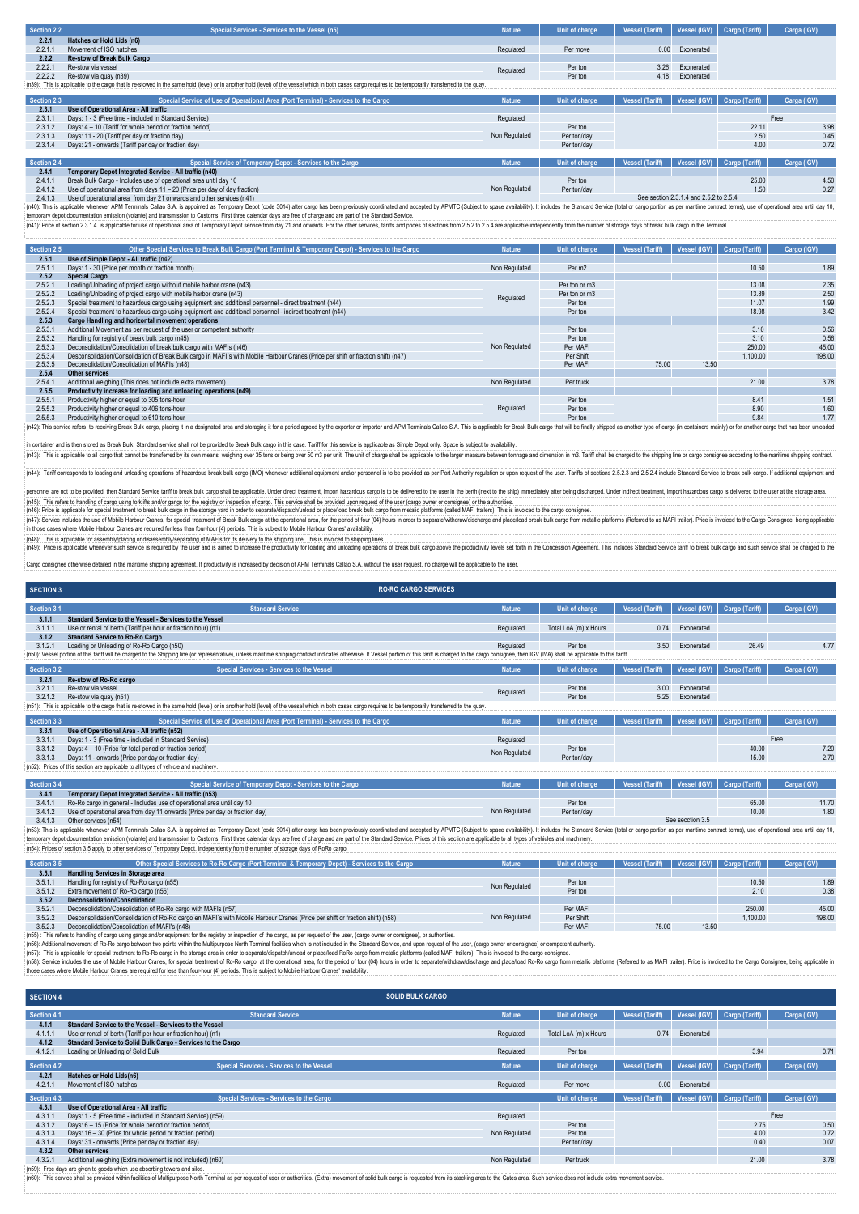| Section 2.2 | Special Services - Services to the Vessel (n5)                                                                                                                                                           | <b>Nature</b> | Unit of charge | <b>Vessel (Tariff)</b> | Vessel (IGV) | Cargo (Tariff)              | Carga (IGV) |
|-------------|----------------------------------------------------------------------------------------------------------------------------------------------------------------------------------------------------------|---------------|----------------|------------------------|--------------|-----------------------------|-------------|
| 2.2.1       | Hatches or Hold Lids (n6)                                                                                                                                                                                |               |                |                        |              |                             |             |
| 2.2.1.1     | Movement of ISO hatches                                                                                                                                                                                  | Regulated     | Per move       | 0.00                   | Exonerated   |                             |             |
| 2.2.2       | <b>Re-stow of Break Bulk Cargo</b>                                                                                                                                                                       |               |                |                        |              |                             |             |
| 2.2.2.1     | Re-stow via vessel                                                                                                                                                                                       | Regulated     | Per ton        | 3.26                   | Exonerated   |                             |             |
| 2.2.2.2     | Re-stow via quay (n39)                                                                                                                                                                                   |               | Per ton        | 4.18                   | Exonerated   |                             |             |
|             | (n39): This is applicable to the cargo that is re-stowed in the same hold (level) or in another hold (level) of the vessel which in both cases cargo requires to be temporarily transferred to the quay. |               |                |                        |              |                             |             |
|             |                                                                                                                                                                                                          |               |                |                        |              |                             |             |
| Section 2.3 | Special Service of Use of Operational Area (Port Terminal) - Services to the Cargo                                                                                                                       | <b>Nature</b> | Unit of charge | Vessel (Tariff)        |              | Vessel (IGV) Cargo (Tariff) | Carga (IGV) |
| 2.3.1       | Use of Operational Area - All traffic                                                                                                                                                                    |               |                |                        |              |                             |             |
| 2.3.1.1     | Days: 1 - 3 (Free time - included in Standard Service)                                                                                                                                                   | Regulated     |                |                        |              |                             | Free        |
| 2.3.1.2     | Days: 4 - 10 (Tariff for whole period or fraction period)                                                                                                                                                |               | Per ton        |                        |              | 22.11                       | 3.98        |
| 2.3.1.3     | Days: 11 - 20 (Tariff per day or fraction day)                                                                                                                                                           | Non Regulated | Per ton/day    |                        |              | 2.50                        | 0.45        |
| 2.3.1.4     | Days: 21 - onwards (Tariff per day or fraction day)                                                                                                                                                      |               | Per ton/day    |                        |              | 4.00                        | 0.72        |
|             |                                                                                                                                                                                                          |               |                |                        |              |                             |             |
| Section 2.4 | Special Service of Temporary Depot - Services to the Cargo                                                                                                                                               | <b>Nature</b> | Unit of charge | <b>Vessel (Tariff)</b> |              | Vessel (IGV) Cargo (Tariff) | Carga (IGV) |
| 2.4.1       | Temporary Depot Integrated Service - All traffic (n40)                                                                                                                                                   |               |                |                        |              |                             |             |
| 2.4.1.1     | Break Bulk Cargo - Includes use of operational area until day 10                                                                                                                                         |               | Per ton        |                        |              | 25.00                       | 4.5(        |
| 2.4.1.2     | Use of operational area from days 11 - 20 (Price per day of day fraction)                                                                                                                                | Non Regulated | Per ton/day    |                        |              | 1.50                        | 0.27        |

2.4.1.2 Use of operational area from day 21 onwards and other services (m41)<br>2.4.2 Use of operational area from day 21 onwards and other services (m41)<br>(n40): This is applicable whenever APM Terminals Callao S.A. is applic

| Section 2.5 | Other Special Services to Break Bulk Cargo (Port Terminal & Temporary Depot) - Services to the Cargo                                                                                                                           | <b>Nature</b> | Unit of charge     | Vessel (Tariff) | Vessel (IGV) | Cargo (Tariff) | Cargo (IGV) |
|-------------|--------------------------------------------------------------------------------------------------------------------------------------------------------------------------------------------------------------------------------|---------------|--------------------|-----------------|--------------|----------------|-------------|
| 2.5.1       | Use of Simple Depot - All traffic (n42)                                                                                                                                                                                        |               |                    |                 |              |                |             |
| 2.5.1.1     | Days: 1 - 30 (Price per month or fraction month)                                                                                                                                                                               | Non Regulated | Per m <sub>2</sub> |                 |              | 10.50          | 1.89        |
| 2.5.2       | <b>Special Cargo</b>                                                                                                                                                                                                           |               |                    |                 |              |                |             |
| 2.5.2.1     | Loading/Unloading of project cargo without mobile harbor crane (n43)                                                                                                                                                           |               | Per ton or m3      |                 |              | 13.08          | 2.35        |
| 2.5.2.2     | Loading/Unloading of project cargo with mobile harbor crane (n43)                                                                                                                                                              | Regulated     | Per ton or m3      |                 |              | 13.89          | 2.50        |
| 2.5.2.3     | Special treatment to hazardous cargo using equipment and additional personnel - direct treatment (n44)                                                                                                                         |               | Per ton            |                 |              | 11.07          | 1.99        |
| 2.5.2.4     | Special treatment to hazardous cargo using equipment and additional personnel - indirect treatment (n44)                                                                                                                       |               | Per ton            |                 |              | 18.98          | 3.42        |
| 2.5.3       | Cargo Handling and horizontal movement operations                                                                                                                                                                              |               |                    |                 |              |                |             |
| 2.5.3.1     | Additional Movement as per request of the user or competent authority                                                                                                                                                          |               | Per ton            |                 |              | 3.10           | 0.56        |
| 2.5.3.2     | Handling for registry of break bulk cargo (n45)                                                                                                                                                                                |               | Per ton            |                 |              | 3.10           | 0.56        |
| 2.5.3.3     | Deconsolidation/Consolidation of break bulk cargo with MAFIs (n46)                                                                                                                                                             | Non Regulated | Per MAFI           |                 |              | 250.00         | 45.00       |
| 2.5.3.4     | Desconsolidation/Consolidation of Break Bulk cargo in MAFI's with Mobile Harbour Cranes (Price per shift or fraction shift) (n47)                                                                                              |               | Per Shift          |                 |              | 1.100.00       | 198.00      |
| 2.5.3.5     | Deconsolidation/Consolidation of MAFIs (n48)                                                                                                                                                                                   |               | Per MAFI           | 75.00           | 13.50        |                |             |
| 2.5.4       | <b>Other services</b>                                                                                                                                                                                                          |               |                    |                 |              |                |             |
| 2.5.4.1     | Additional weighing (This does not include extra movement)                                                                                                                                                                     | Non Regulated | Per truck          |                 |              | 21.00          | 3.78        |
| 2.5.5       | Productivity increase for loading and unloading operations (n49)                                                                                                                                                               |               |                    |                 |              |                |             |
| 2.5.5.1     | Productivity higher or equal to 305 tons-hour                                                                                                                                                                                  |               | Per ton            |                 |              | 8.41           | 1.5'        |
| 2.5.5.2     | Productivity higher or equal to 406 tons-hour                                                                                                                                                                                  | Regulated     | Per ton            |                 |              | 8.90           | 1.60        |
| 2.5.5.3     | Productivity higher or equal to 610 tons-hour                                                                                                                                                                                  |               | Per ton            |                 |              | 9.84           | 1.77        |
|             | (n42): This service refers to receiving Break Bulk cargo, placing it in a designated area and storaging it for a period agreed by the exporter or importer and APM Terminals Callao S.A. This is applicable for Break Bulk car |               |                    |                 |              |                |             |

in container and is then stored as Break Bulk. Standard service shall not be provided to Break Bulk cargo in this case. Tariff for this service is applicable as Simple Depot only. Space is subject to availability.<br>(n43): T (n44): Tariff corresponds to loading and unloading operations of hazardous break bulk cargo (IMO) whenever additional equipment and/or personnel is to be provided as per Port Authority regulation or upon request of the use

.<br>personnel are not to be provided, then Standard Service tariff to break bulk cargo shall be applicable. Under direct treatment, import hazardous cargo is to be delivered to the serin the berth (next to the ship) immediat

(n45): This refers to handling of cargo using forkilits and/or gans for the registry or inspection of cargo. This service shall be provided upon request of the user (cargo consignee) or the authorities.<br>(n45): Price is app

(n49). This a splicable to assembly pleading or disassembly bepareding of MAFs for the devery bite shipping line. This is invold to increase the productivity for loading operations of breaks beling contains of break bulk c

Cargo consignee otherwise detailed in the maritime shipping agreement. If productivity is increased by decision of APM Terminals Callao S.A. without the user request, no charge will be applicable to the user.

| <b>SECTION 3</b> | <b>RO-RO CARGO SERVICES</b>                                                                                                                                                                                                    |               |                       |                        |              |                |             |
|------------------|--------------------------------------------------------------------------------------------------------------------------------------------------------------------------------------------------------------------------------|---------------|-----------------------|------------------------|--------------|----------------|-------------|
| Section 3.1      | <b>Standard Service</b>                                                                                                                                                                                                        | <b>Nature</b> | Unit of charge        | <b>Vessel (Tariff)</b> | Vessel (IGV) | Cargo (Tariff) | Carga (IGV) |
| 3.1.1            | Standard Service to the Vessel - Services to the Vessel                                                                                                                                                                        |               |                       |                        |              |                |             |
| 3.1.1.1          | Use or rental of berth (Tariff per hour or fraction hour) (n1)                                                                                                                                                                 | Regulated     | Total LoA (m) x Hours | 0.74                   | Exonerated   |                |             |
| 3.1.2            | <b>Standard Service to Ro-Ro Cargo</b>                                                                                                                                                                                         |               |                       |                        |              |                |             |
| 3.1.2.1          | Loading or Unloading of Ro-Ro Cargo (n50)                                                                                                                                                                                      | Regulated     | Per ton               | 3.50                   | Exonerated   | 26.49          | 4.77        |
|                  | (n50): Vessel portion of this tariff will be charged to the Shipping line (or representative), unless maritime shipping contract indicates otherwise. If Vessel portion of this tariff is charged to the cargo consignee, then |               |                       |                        |              |                |             |
| Section 3.2      | <b>Special Services - Services to the Vessel</b>                                                                                                                                                                               | <b>Nature</b> | Unit of charge        | Vessel (Tariff)        | Vessel (IGV) | Cargo (Tariff) | Carga (IGV) |
| 3.2.1            | Re-stow of Ro-Ro cargo                                                                                                                                                                                                         |               |                       |                        |              |                |             |
| 3.2.1.1          | Re-stow via vessel                                                                                                                                                                                                             | Regulated     | Per ton               | 3.00                   | Exonerated   |                |             |
| 3.2.1.2          | Re-stow via quay (n51)                                                                                                                                                                                                         |               | Per ton               | 5.25                   | Exonerated   |                |             |
|                  | (n51): This is applicable to the cargo that is re-stowed in the same hold (level) or in another hold (level) of the vessel which in both cases cargo requires to be temporarily transferred to the quay.                       |               |                       |                        |              |                |             |
| Section 3.3      | Special Service of Use of Operational Area (Port Terminal) - Services to the Cargo                                                                                                                                             | <b>Nature</b> | Unit of charge        | Vessel (Tariff)        | Vessel (IGV) | Cargo (Tariff) | Carga (IGV) |
| 3.3.1            | Use of Operational Area - All traffic (n52)                                                                                                                                                                                    |               |                       |                        |              |                |             |
| 3.3.1.1          | Days: 1 - 3 (Free time - included in Standard Service)                                                                                                                                                                         | Regulated     |                       |                        |              |                | Free        |
| 3.3.1.2          | Days: 4 - 10 (Price for total period or fraction period)                                                                                                                                                                       | Non Regulated | Per ton               |                        |              | 40.00          | 7.20        |
| 3.3.1.3          | Days: 11 - onwards (Price per day or fraction day)                                                                                                                                                                             |               | Per ton/day           |                        |              | 15.00          | 2.70        |
|                  | (n52): Prices of this section are applicable to all types of vehicle and machinery.                                                                                                                                            |               |                       |                        |              |                |             |
| Section 3.4      | Special Service of Temporary Depot - Services to the Cargo                                                                                                                                                                     | <b>Nature</b> | Unit of charge        | <b>Vessel (Tariff)</b> | Vessel (IGV) | Cargo (Tariff) | Carga (IGV) |

| 3.4.1   | Temporary Depot Integrated Service - All traffic (n53)                                                                                                                                                                         |               |             |                  |       |       |
|---------|--------------------------------------------------------------------------------------------------------------------------------------------------------------------------------------------------------------------------------|---------------|-------------|------------------|-------|-------|
| 3.4.1.1 | Ro-Ro cargo in general - Includes use of operational area until day 10                                                                                                                                                         |               | Per ton     |                  | 65.00 | 11.70 |
| 3.4.1.2 | Use of operational area from day 11 onwards (Price per day or fraction day)                                                                                                                                                    | Non Regulated | Per ton/dav |                  | 10.00 | 1.80  |
| 3.4.1.3 | Other services (n54)                                                                                                                                                                                                           |               |             | See secction 3.5 |       |       |
|         | {(n53): This is applicable whenever APM Terminals Callao S.A. is appointed as Temporary Depot (code 3014) after cargo has been previously coordinated and accepted by APMTC (Subject to space availability). It includes the S |               |             |                  |       |       |

(n53): This applicable whenver APM Terminals Called S.A. is appoined as Temporary Depot (code 3014) after cargo has been peviously condinated and accepted by PMIC (Subject to space and assembling). It includes the Standard (n54): Prices of section 3.5 apply to other services of Temporary Depot, independently from the number of storage days of RoRo cargo.

| Section 3.5 | other Special Services to Ro-Ro Cargo (Port Terminal & Temporary Depot) - Services to the Cargo                                                                                          | <b>Nature</b> | Unit of charge |       |       | Vessel (Tariff) Vessel (IGV) Cargo (Tariff) | Carga (IGV) |
|-------------|------------------------------------------------------------------------------------------------------------------------------------------------------------------------------------------|---------------|----------------|-------|-------|---------------------------------------------|-------------|
| 3.5.1       | <b>Handling Services in Storage area</b>                                                                                                                                                 |               |                |       |       |                                             |             |
| 3.5.1.1     | Handling for registry of Ro-Ro cargo (n55)                                                                                                                                               | Non Regulated | Per ton        |       |       | 10.50                                       | 1.89        |
| 3.5.1.2     | Extra movement of Ro-Ro cargo (n56)                                                                                                                                                      |               | Per ton        |       |       | 2.10                                        | 0.38        |
| 3.5.2       | Deconsolidation/Consolidation                                                                                                                                                            |               |                |       |       |                                             |             |
| 3.5.2.1     | Deconsolidation/Consolidation of Ro-Ro cargo with MAFIs (n57)                                                                                                                            |               | Per MAFI       |       |       | 250.00                                      | 45.00       |
| 3.5.2.2     | Desconsolidation/Consolidation of Ro-Ro cargo en MAFI's with Mobile Harbour Cranes (Price per shift or fraction shift) (n58)                                                             | Non Regulated | Per Shift      |       |       | 1.100.00                                    | 198.00      |
| 3.5.2.3     | Deconsolidation/Consolidation of MAFI's (n48)                                                                                                                                            |               | Per MAFI       | 75.00 | 13.50 |                                             |             |
|             | (n55). This ratare to handling of cargo using games and/or equipment for the registry or inspection of the cargo, as ner request of the user, (cargo owner or consignee), or authorities |               |                |       |       |                                             |             |

3.5.2.3 Deconsolidation/Consolidation of MAFI's (n48)<br>(n55). This relevant of cargo using amps and or equive the registry or inspection of the cargo, as per request of the user, (cargo owner or consignee), or authorities.<br>

| <b>SECTION 4</b> | <b>SOLID BULK CARGO</b>                                                   |               |                       |                        |              |                |             |
|------------------|---------------------------------------------------------------------------|---------------|-----------------------|------------------------|--------------|----------------|-------------|
| Section 4.1      | <b>Standard Service</b>                                                   | <b>Nature</b> | Unit of charge        | <b>Vessel (Tariff)</b> | Vessel (IGV) | Cargo (Tariff) | Carga (IGV) |
| 4.1.1            | Standard Service to the Vessel - Services to the Vessel                   |               |                       |                        |              |                |             |
| 4.1.1.1          | Use or rental of berth (Tariff per hour or fraction hour) (n1)            | Regulated     | Total LoA (m) x Hours | 0.74                   | Exonerated   |                |             |
| 4.1.2            | Standard Service to Solid Bulk Cargo - Services to the Cargo              |               |                       |                        |              |                |             |
| 4.1.2.1          | Loading or Unloading of Solid Bulk                                        | Regulated     | Per ton               |                        |              | 3.94           | 0.71        |
| Section 4.2      | <b>Special Services - Services to the Vessel</b>                          | <b>Nature</b> | Unit of charge        | <b>Vessel (Tariff)</b> | Vessel (IGV) | Cargo (Tariff) | Carga (IGV) |
| 4.2.1            | Hatches or Hold Lids(n6)                                                  |               |                       |                        |              |                |             |
| 4.2.1.1          | Movement of ISO hatches                                                   | Regulated     | Per move              | 0.00                   | Exonerated   |                |             |
| Section 4.3      | <b>Special Services - Services to the Cargo</b>                           |               | Unit of charge        | Vessel (Tariff)        | Vessel (IGV) | Cargo (Tariff) | Carga (IGV) |
| 4.3.1            | Use of Operational Area - All traffic                                     |               |                       |                        |              |                |             |
| 4.3.1.1          | Days: 1 - 5 (Free time - included in Standard Service) (n59)              | Regulated     |                       |                        |              |                | Free        |
| 4.3.1.2          | Days: 6 - 15 (Price for whole period or fraction period)                  |               | Per ton               |                        |              | 2.75           | 0.50        |
| 4.3.1.3          | Days: 16 - 30 (Price for whole period or fraction period)                 | Non Regulated | Per ton               |                        |              | 4.00           | 0.72        |
| 4.3.1.4          | Days: 31 - onwards (Price per day or fraction day)                        |               | Per ton/day           |                        |              | 0.40           | 0.07        |
| 4.3.2            | Other services                                                            |               |                       |                        |              |                |             |
| 4.3.2.1          | Additional weighing (Extra movement is not included) (n60)                | Non Regulated | Per truck             |                        |              | 21.00          | 3.78        |
|                  | (n59): Free days are given to goods which use absorbing towers and silos. |               |                       |                        |              |                |             |
|                  |                                                                           |               |                       |                        |              |                |             |

(n60): This service shall be provided within facilities of Multipurpose North Terminal as per request of user or authorities. (Extra) movement of solid bulk cargo is requested from its stacking area to the Gates area. Such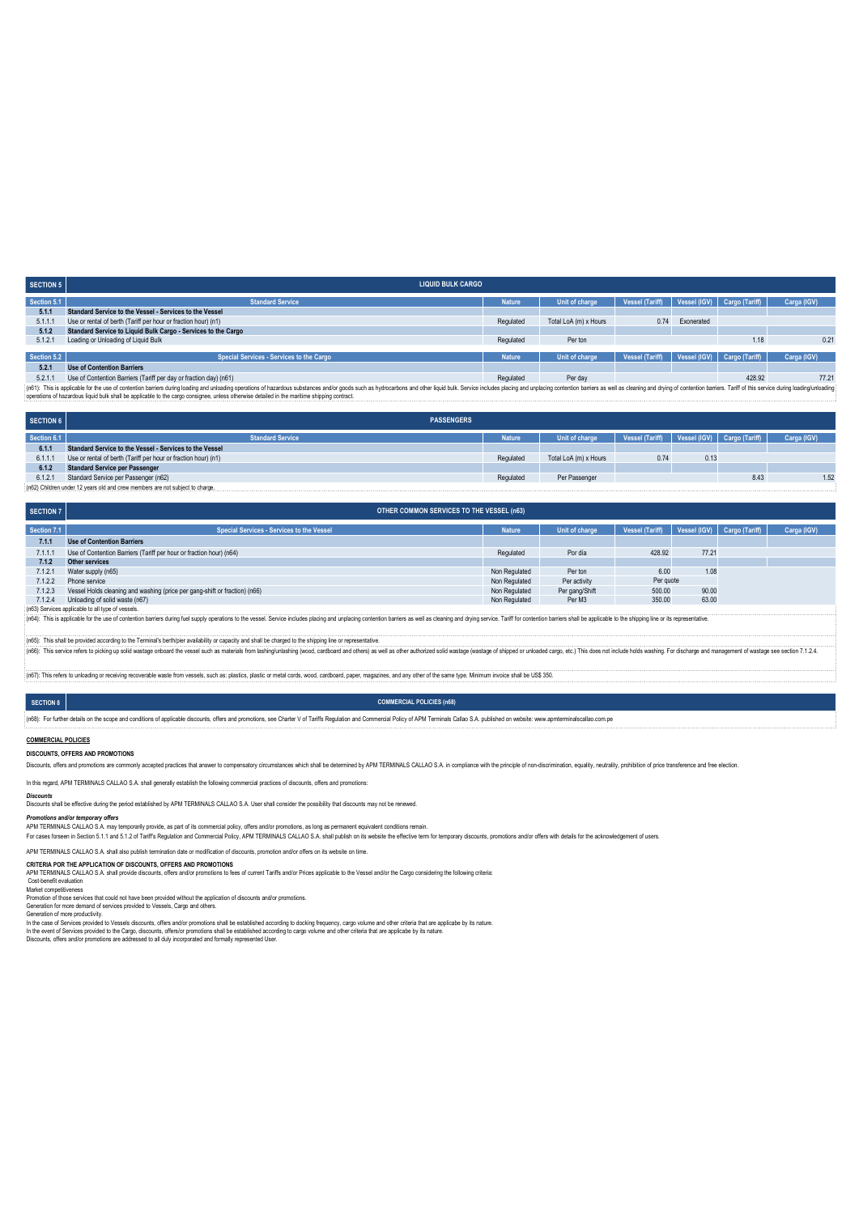| <b>SECTION 5</b> | <b>LIQUID BULK CARGO</b>                                                                                                                                                                                                      |               |                       |                        |            |                             |             |
|------------------|-------------------------------------------------------------------------------------------------------------------------------------------------------------------------------------------------------------------------------|---------------|-----------------------|------------------------|------------|-----------------------------|-------------|
| Section 5.1      | <b>Standard Service</b>                                                                                                                                                                                                       | <b>Nature</b> | Unit of charge        | Vessel (Tariff)        |            | Vessel (IGV) Cargo (Tariff) | Carga (IGV) |
| 5.1.1            | Standard Service to the Vessel - Services to the Vessel                                                                                                                                                                       |               |                       |                        |            |                             |             |
| 5.1.1.1          | Use or rental of berth (Tariff per hour or fraction hour) (n1)                                                                                                                                                                | Regulated     | Total LoA (m) x Hours | 0.74                   | Exonerated |                             |             |
| 5.1.2            | Standard Service to Liquid Bulk Cargo - Services to the Cargo                                                                                                                                                                 |               |                       |                        |            |                             |             |
| 5.1.2.1          | Loading or Unloading of Liquid Bulk                                                                                                                                                                                           | Regulated     | Per ton               |                        |            | 1.18                        | 0.21        |
|                  |                                                                                                                                                                                                                               |               |                       |                        |            |                             |             |
| Section 5.2      | <b>Special Services - Services to the Cargo</b>                                                                                                                                                                               | <b>Nature</b> | Unit of charge        | <b>Vessel (Tariff)</b> |            | Vessel (IGV) Cargo (Tariff) | Carga (IGV) |
| 5.2.1            | <b>Use of Contention Barriers</b>                                                                                                                                                                                             |               |                       |                        |            |                             |             |
| 5.2.1.1          | Use of Contention Barriers (Tariff per day or fraction day) (n61)                                                                                                                                                             | Regulated     | Per day               |                        |            | 428.92                      | 77.21       |
|                  | {(n61): This is applicable for the use of contention barriers during loading and unloading operations of hazardous substances and/or goods such as hydrocarbons and other liguid bulk. Service includes placing and unplacing |               |                       |                        |            |                             |             |
|                  | considers of hazardous liquid bulk shall be applicable to the cargo consignee, unless otherwise detailed in the maritime shipping contract.                                                                                   |               |                       |                        |            |                             |             |

**SECTION 6 PASSENGERS**

| Section 6.1                                                                   | <b>Standard Service</b>                                        | <b>Nature</b> | Unit of charge        | Vessel (Tariff)   Vessel (IGV)   Cargo (Tariff) |      |      | Carga (IGV) |
|-------------------------------------------------------------------------------|----------------------------------------------------------------|---------------|-----------------------|-------------------------------------------------|------|------|-------------|
| 6.1.1                                                                         | Standard Service to the Vessel - Services to the Vessel        |               |                       |                                                 |      |      |             |
| 6.1.1.                                                                        | Use or rental of berth (Tariff per hour or fraction hour) (n1) | Regulated     | Total LoA (m) x Hours | 0.74                                            | 0.13 |      |             |
| 6.1.2                                                                         | <b>Standard Service per Passenger</b>                          |               |                       |                                                 |      |      |             |
| 6.1.2.1                                                                       | Standard Service per Passenger (n62)                           | Regulated     | Per Passenger         |                                                 |      | 8.43 | 1.52        |
| (n62) Children under 12 years old and crew members are not subject to charge. |                                                                |               |                       |                                                 |      |      |             |

| <b>SECTION 7</b>                                                                                                                                                                                                               | <b>OTHER COMMON SERVICES TO THE VESSEL (n63)</b>                           |               |                |                 |              |                |             |  |  |  |  |
|--------------------------------------------------------------------------------------------------------------------------------------------------------------------------------------------------------------------------------|----------------------------------------------------------------------------|---------------|----------------|-----------------|--------------|----------------|-------------|--|--|--|--|
| Section 7.1                                                                                                                                                                                                                    | <b>Special Services - Services to the Vessel</b>                           | <b>Nature</b> | Unit of charge | Vessel (Tariff) | Vessel (IGV) | Cargo (Tariff) | Carga (IGV) |  |  |  |  |
| 7.1.1                                                                                                                                                                                                                          | <b>Use of Contention Barriers</b>                                          |               |                |                 |              |                |             |  |  |  |  |
| 7.1.1.1                                                                                                                                                                                                                        | Use of Contention Barriers (Tariff per hour or fraction hour) (n64)        | Regulated     | Por día        | 428.92          | 77.21        |                |             |  |  |  |  |
| 7.1.2                                                                                                                                                                                                                          | Other services                                                             |               |                |                 |              |                |             |  |  |  |  |
| 7.1.2.1                                                                                                                                                                                                                        | Water supply (n65)                                                         | Non Regulated | Per ton        | 6.00            | 1.08         |                |             |  |  |  |  |
| 7.1.2.2                                                                                                                                                                                                                        | Phone service                                                              | Non Regulated | Per activity   | Per quote       |              |                |             |  |  |  |  |
| 7.1.2.3                                                                                                                                                                                                                        | Vessel Holds cleaning and washing (price per gang-shift or fraction) (n66) | Non Regulated | Per gang/Shift | 500.00          | 90.00        |                |             |  |  |  |  |
| 7.1.2.4                                                                                                                                                                                                                        | Unloading of solid waste (n67)                                             | Non Regulated | Per M3         | 350.00          | 63.00        |                |             |  |  |  |  |
| (n63) Services applicable to all type of vessels.                                                                                                                                                                              |                                                                            |               |                |                 |              |                |             |  |  |  |  |
| (n64): This is applicable for the use of contention barriers during fuel supply operations to the vessel. Service includes placing and unplacing contention barriers as well as cleaning and drying service. Tariff for conten |                                                                            |               |                |                 |              |                |             |  |  |  |  |
| (n65): This shall be provided according to the Terminal's berth/pier availability or capacity and shall be charged to the shipping line or representative                                                                      |                                                                            |               |                |                 |              |                |             |  |  |  |  |
| (n66): This service refers to picking up solid wastage onboard the vessel such as materials from lashing/unlashing (wood, cardboard and others) as well as other authorized solid wastage (wastage of shipped or unloaded carg |                                                                            |               |                |                 |              |                |             |  |  |  |  |
| to unloading or receiving recoverable waste from vessels, such as: plastics, plastic or metal cords, wood, cardboard, paper, magazines, and any other of the same type. Minimum invoice shall be US\$                          |                                                                            |               |                |                 |              |                |             |  |  |  |  |
|                                                                                                                                                                                                                                |                                                                            |               |                |                 |              |                |             |  |  |  |  |

# **COMMERCIAL POLICIES (n68)**

:<br>(n68): For further details on the scope and conditions of applicable discounts, offers and promotions, see Charter V of Tariffs Regulation and Commercial Policy of APM Terminals Callao S.A. published on website: www.apmt

## **COMMERCIAL POLICIES**

**SECTION 8**

**DISCOUNTS, OFFERS AND PROMOTIONS**

Discounts, offers and promotions are commonly accepted practices that answer to compensatory circumstances which shall be determined by APM TERMINALS CALLAO S.A. in compliance with the principle of non-discrimination, equa

In this regard, APM TERMINALS CALLAO S.A. shall generally establish the following commercial practices of discounts, offers and promotions:

*Discounts* Discounts shall be effective during the period established by APM TERMINALS CALLAO S.A. User shall consider the possibility that discounts may not be renewed.

Promotions and/or temporary offers<br>APM TERMINALS CALLAO SA. may temporarily provide, as part of its commercial policy, offers and/or promotions, as long as permanent equivalent conditions remain.<br>For cases forseen in Secti

### APM TERMINALS CALLAO S.A. shall also publish termination date or modification of discounts, promotion and/or offers on its website on time. **CRITERIA POR THE APPLICATION OF DISCOUNTS, OFFERS AND PROMOTIONS**

CALLAT TERMINALS CALLAD AT SHOW THE UNIVERSITY OF THE CHILAO STATE THIS AND THE AND THE RESPONDED TO THE STATE ORDINAL CALLAD STREET AND A STATE AND THE MINOR CONSIDERING THE FOLLOWING CRITERIA:<br>Cost-benefit evaluation

### Cost-benefit evaluation

Market competitiveness<br>Promotion of those services that could not have been provided without the application of discounts and/or promotions.<br>Generation of more demand of services provided to Vessels, Cargo and others.<br>Gene

Discounts, offers and/or promotions are addressed to all duly incorporated and formally represented User.